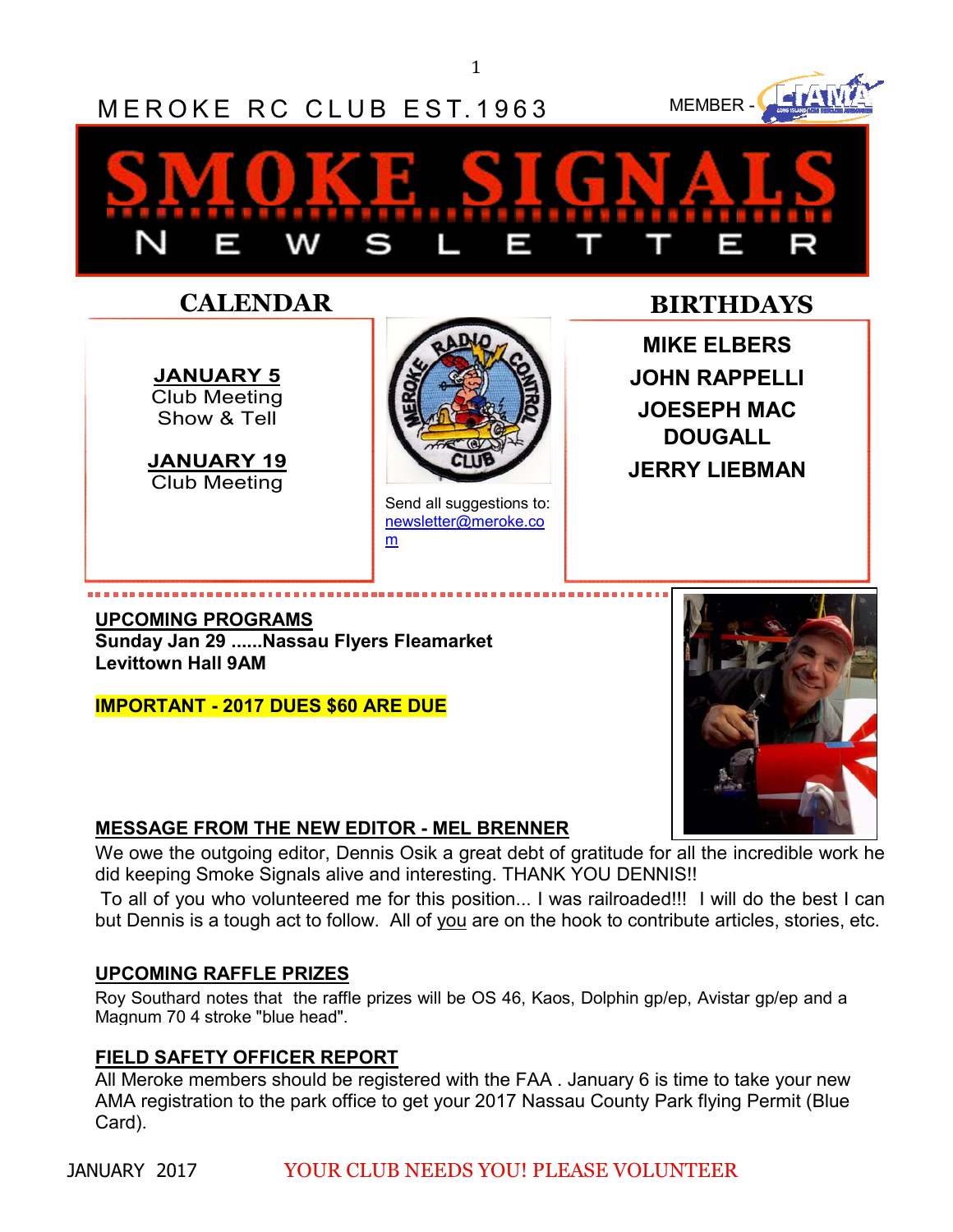1



newsletter@meroke.co

m

#### **UPCOMING PROGRAMS Sunday Jan 29 ......Nassau Flyers Fleamarket Levittown Hall 9AM**

#### **IMPORTANT - 2017 DUES \$60 ARE DUE**

## **MESSAGE FROM THE NEW EDITOR - MEL BRENNER**

We owe the outgoing editor, Dennis Osik a great debt of gratitude for all the incredible work he did keeping Smoke Signals alive and interesting. THANK YOU DENNIS!!

 To all of you who volunteered me for this position... I was railroaded!!! I will do the best I can but Dennis is a tough act to follow. All of you are on the hook to contribute articles, stories, etc.

### **UPCOMING RAFFLE PRIZES**

Roy Southard notes that the raffle prizes will be OS 46, Kaos, Dolphin gp/ep, Avistar gp/ep and a Magnum 70 4 stroke "blue head".

### **FIELD SAFETY OFFICER REPORT**

All Meroke members should be registered with the FAA . January 6 is time to take your new AMA registration to the park office to get your 2017 Nassau County Park flying Permit (Blue Card).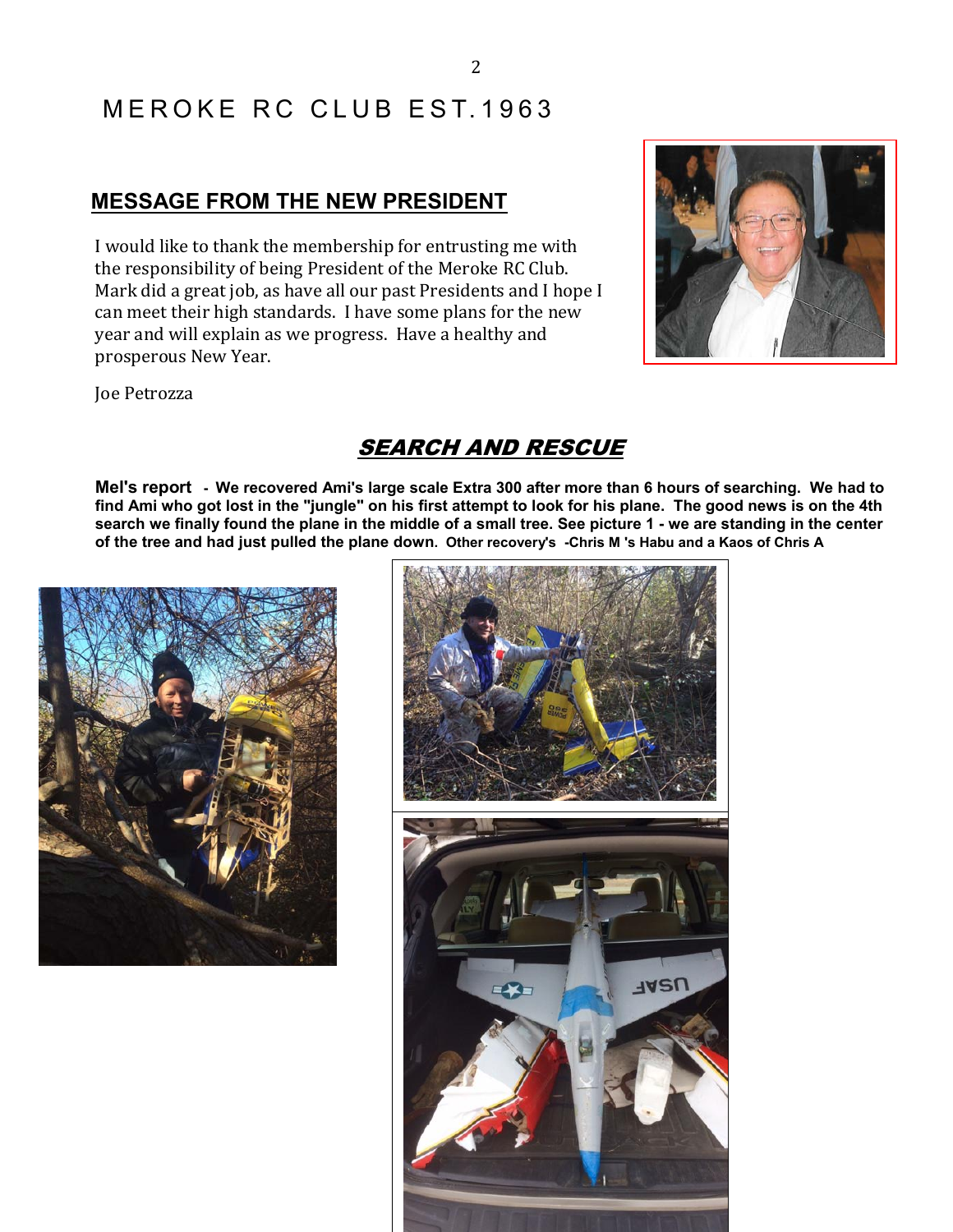# MEROKE RC CLUB EST 1963

## **MESSAGE FROM THE NEW PRESIDENT**

I would like to thank the membership for entrusting me with the responsibility of being President of the Meroke RC Club. Mark did a great job, as have all our past Presidents and I hope I can meet their high standards. I have some plans for the new year and will explain as we progress. Have a healthy and prosperous New Year.



Joe Petrozza

## SEARCH AND RESCUE

**Mel's report - We recovered Ami's large scale Extra 300 after more than 6 hours of searching. We had to find Ami who got lost in the "jungle" on his first attempt to look for his plane. The good news is on the 4th search we finally found the plane in the middle of a small tree. See picture 1 - we are standing in the center of the tree and had just pulled the plane down. Other recovery's -Chris M 's Habu and a Kaos of Chris A** 



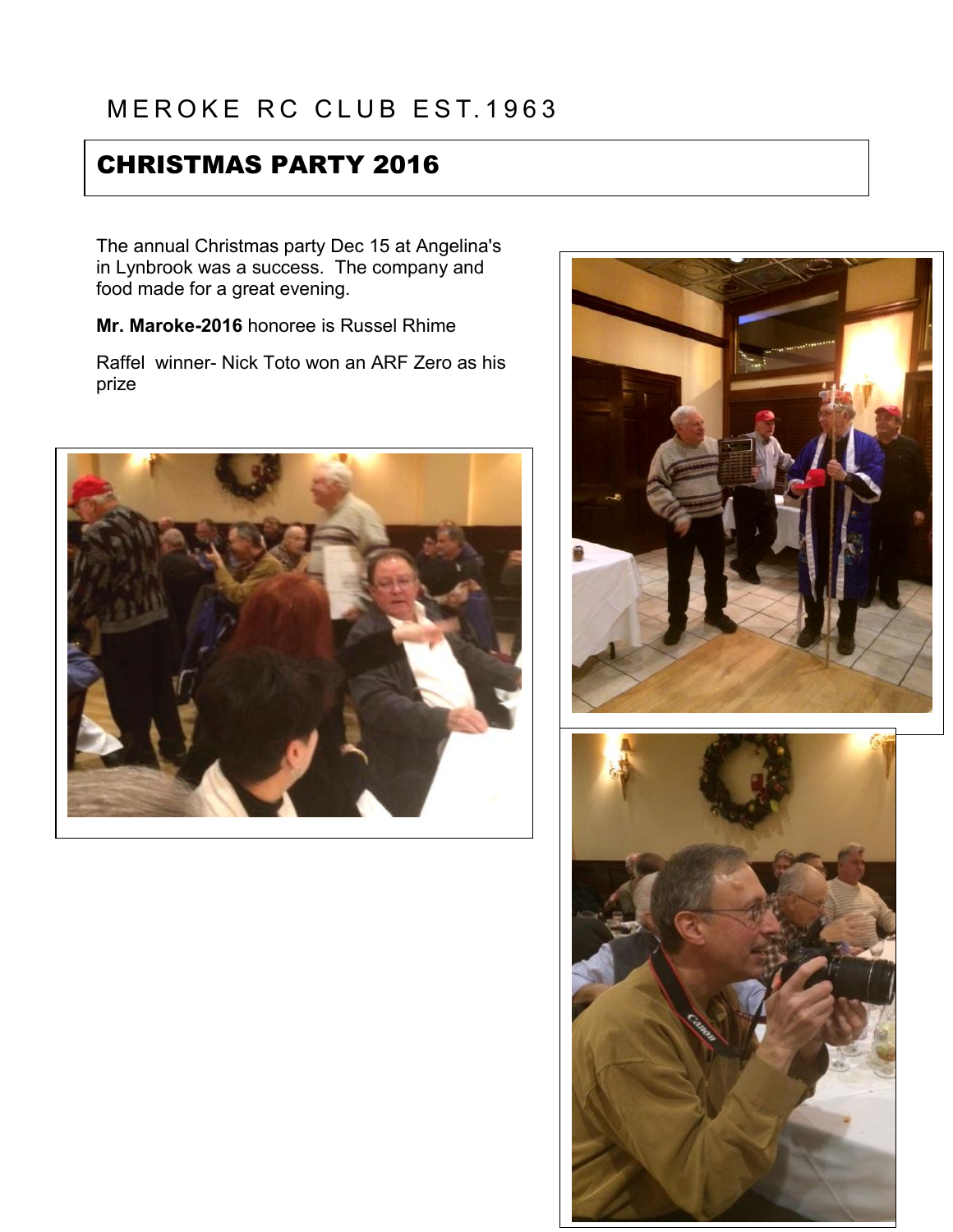# CHRISTMAS PARTY 2016

The annual Christmas party Dec 15 at Angelina's in Lynbrook was a success. The company and food made for a great evening.

**Mr. Maroke-2016** honoree is Russel Rhime

Raffel winner- Nick Toto won an ARF Zero as his prize





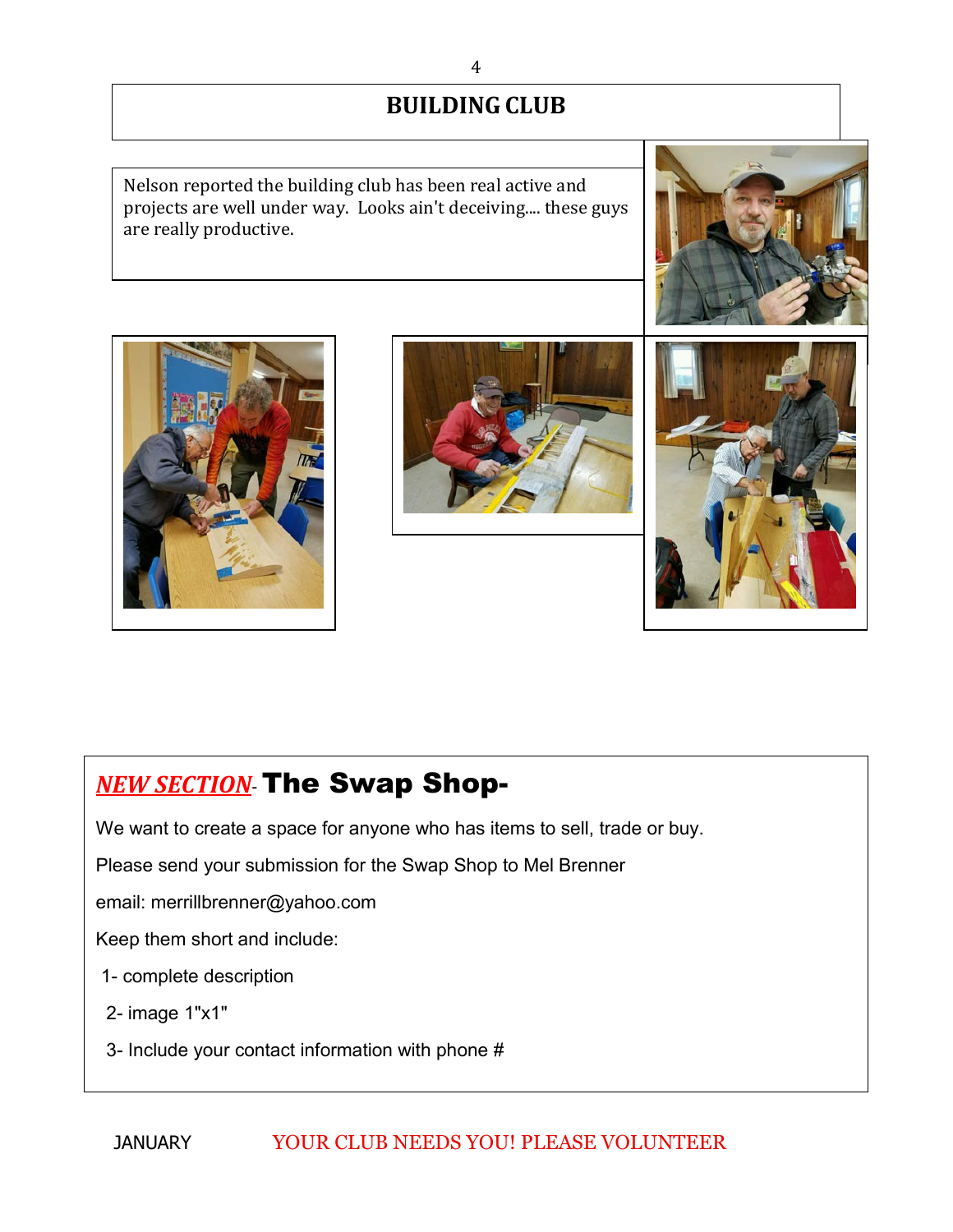## **BUILDING CLUB**

Nelson reported the building club has been real active and projects are well under way. Looks ain't deceiving.... these guys are really productive.







## *NEW SECTION*- The Swap Shop-

We want to create a space for anyone who has items to sell, trade or buy.

Please send your submission for the Swap Shop to Mel Brenner

email: merrillbrenner@yahoo.com

Keep them short and include:

- 1- complete description
- 2- image 1"x1"
- 3- Include your contact information with phone #